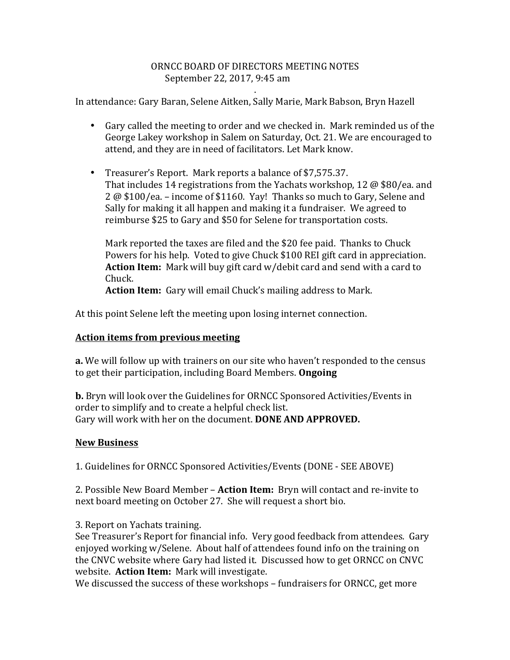## ORNCC BOARD OF DIRECTORS MEETING NOTES September 22, 2017, 9:45 am

.

In attendance: Gary Baran, Selene Aitken, Sally Marie, Mark Babson, Bryn Hazell

- Gary called the meeting to order and we checked in. Mark reminded us of the George Lakey workshop in Salem on Saturday, Oct. 21. We are encouraged to attend, and they are in need of facilitators. Let Mark know.
- Treasurer's Report. Mark reports a balance of \$7,575.37. That includes 14 registrations from the Yachats workshop, 12  $\omega$  \$80/ea. and  $2\omega$  \$100/ea. – income of \$1160. Yay! Thanks so much to Gary, Selene and Sally for making it all happen and making it a fundraiser. We agreed to reimburse \$25 to Gary and \$50 for Selene for transportation costs.

Mark reported the taxes are filed and the \$20 fee paid. Thanks to Chuck Powers for his help. Voted to give Chuck \$100 REI gift card in appreciation. **Action Item:** Mark will buy gift card w/debit card and send with a card to Chuck.

**Action Item:** Gary will email Chuck's mailing address to Mark.

At this point Selene left the meeting upon losing internet connection.

## **Action items from previous meeting**

**a.** We will follow up with trainers on our site who haven't responded to the census to get their participation, including Board Members. **Ongoing** 

**b.** Bryn will look over the Guidelines for ORNCC Sponsored Activities/Events in order to simplify and to create a helpful check list. Gary will work with her on the document. **DONE AND APPROVED.** 

## **New Business**

1. Guidelines for ORNCC Sponsored Activities/Events (DONE - SEE ABOVE)

2. Possible New Board Member – **Action Item:** Bryn will contact and re-invite to next board meeting on October 27. She will request a short bio.

3. Report on Yachats training.

See Treasurer's Report for financial info. Very good feedback from attendees. Gary enjoyed working w/Selene. About half of attendees found info on the training on the CNVC website where Gary had listed it. Discussed how to get ORNCC on CNVC website. Action Item: Mark will investigate.

We discussed the success of these workshops – fundraisers for ORNCC, get more